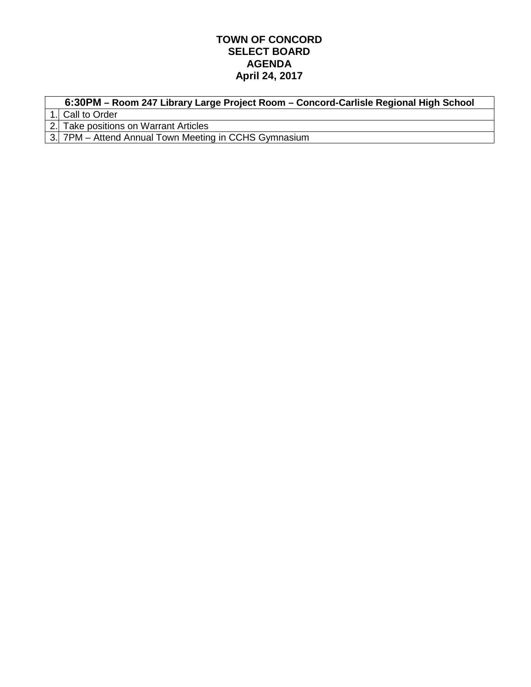## **TOWN OF CONCORD SELECT BOARD AGENDA April 24, 2017**

| 6:30PM – Room 247 Library Large Project Room – Concord-Carlisle Regional High School |  |  |  |
|--------------------------------------------------------------------------------------|--|--|--|
| 1. Call to Order                                                                     |  |  |  |
| 2. Take positions on Warrant Articles                                                |  |  |  |
| 3. 7PM – Attend Annual Town Meeting in CCHS Gymnasium                                |  |  |  |
|                                                                                      |  |  |  |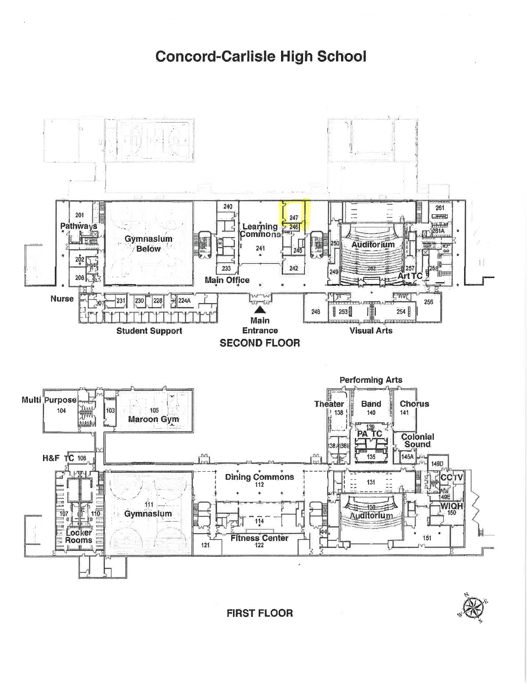## **Concord-Carlisle High School**



**FIRST FLOOR**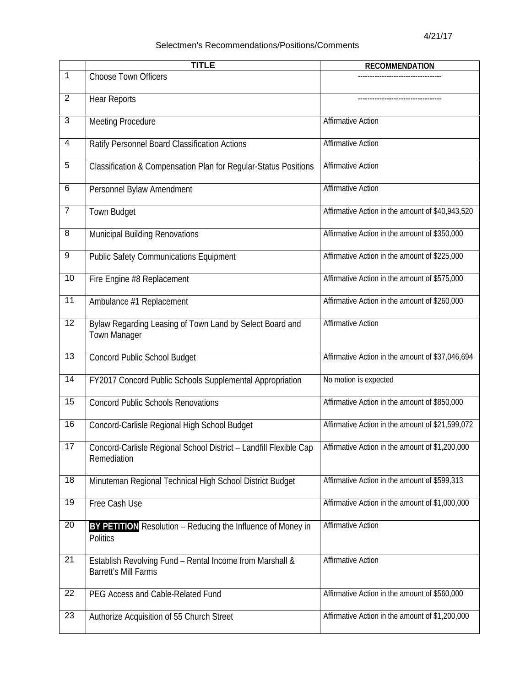## Selectmen's Recommendations/Positions/Comments

|                 | <b>TITLE</b>                                                                            | <b>RECOMMENDATION</b>                            |
|-----------------|-----------------------------------------------------------------------------------------|--------------------------------------------------|
| $\mathbf{1}$    | <b>Choose Town Officers</b>                                                             |                                                  |
| $\overline{2}$  | <b>Hear Reports</b>                                                                     |                                                  |
| 3               | <b>Meeting Procedure</b>                                                                | <b>Affirmative Action</b>                        |
| 4               | Ratify Personnel Board Classification Actions                                           | <b>Affirmative Action</b>                        |
| $\overline{5}$  | Classification & Compensation Plan for Regular-Status Positions                         | <b>Affirmative Action</b>                        |
| $\overline{6}$  | Personnel Bylaw Amendment                                                               | <b>Affirmative Action</b>                        |
| $\overline{7}$  | Town Budget                                                                             | Affirmative Action in the amount of \$40,943,520 |
| $\overline{8}$  | Municipal Building Renovations                                                          | Affirmative Action in the amount of \$350,000    |
| 9               | <b>Public Safety Communications Equipment</b>                                           | Affirmative Action in the amount of \$225,000    |
| 10              | Fire Engine #8 Replacement                                                              | Affirmative Action in the amount of \$575,000    |
| 11              | Ambulance #1 Replacement                                                                | Affirmative Action in the amount of \$260,000    |
| 12              | Bylaw Regarding Leasing of Town Land by Select Board and<br><b>Town Manager</b>         | <b>Affirmative Action</b>                        |
| 13              | <b>Concord Public School Budget</b>                                                     | Affirmative Action in the amount of \$37,046,694 |
| $\overline{14}$ | FY2017 Concord Public Schools Supplemental Appropriation                                | No motion is expected                            |
| 15              | <b>Concord Public Schools Renovations</b>                                               | Affirmative Action in the amount of \$850,000    |
| 16              | Concord-Carlisle Regional High School Budget                                            | Affirmative Action in the amount of \$21,599,072 |
| 17              | Concord-Carlisle Regional School District - Landfill Flexible Cap<br>Remediation        | Affirmative Action in the amount of \$1,200,000  |
| 18              | Minuteman Regional Technical High School District Budget                                | Affirmative Action in the amount of \$599,313    |
| 19              | Free Cash Use                                                                           | Affirmative Action in the amount of \$1,000,000  |
| 20              | BY PETITION Resolution - Reducing the Influence of Money in<br><b>Politics</b>          | <b>Affirmative Action</b>                        |
| 21              | Establish Revolving Fund - Rental Income from Marshall &<br><b>Barrett's Mill Farms</b> | <b>Affirmative Action</b>                        |
| 22              | PEG Access and Cable-Related Fund                                                       | Affirmative Action in the amount of \$560,000    |
| 23              | Authorize Acquisition of 55 Church Street                                               | Affirmative Action in the amount of \$1,200,000  |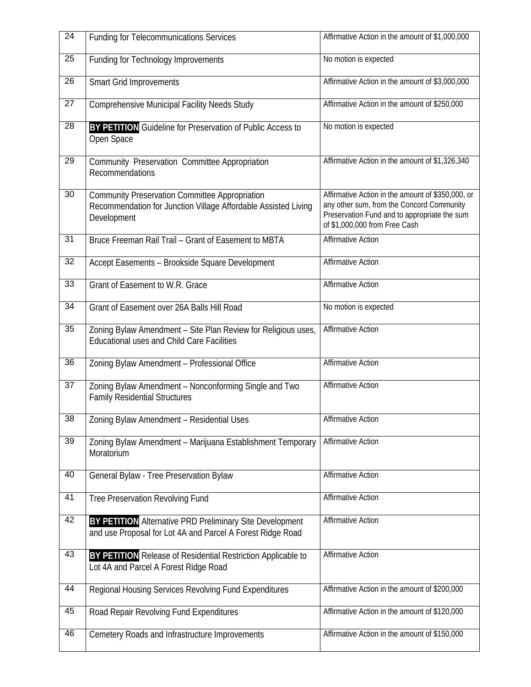| $\overline{24}$ | <b>Funding for Telecommunications Services</b>                                                                                         | Affirmative Action in the amount of \$1,000,000                                                                                                                                 |
|-----------------|----------------------------------------------------------------------------------------------------------------------------------------|---------------------------------------------------------------------------------------------------------------------------------------------------------------------------------|
| 25              | <b>Funding for Technology Improvements</b>                                                                                             | No motion is expected                                                                                                                                                           |
| 26              | <b>Smart Grid Improvements</b>                                                                                                         | Affirmative Action in the amount of \$3,000,000                                                                                                                                 |
| 27              | Comprehensive Municipal Facility Needs Study                                                                                           | Affirmative Action in the amount of \$250,000                                                                                                                                   |
| 28              | <b>BY PETITION</b> Guideline for Preservation of Public Access to<br>Open Space                                                        | No motion is expected                                                                                                                                                           |
| 29              | Community Preservation Committee Appropriation<br>Recommendations                                                                      | Affirmative Action in the amount of \$1,326,340                                                                                                                                 |
| 30              | <b>Community Preservation Committee Appropriation</b><br>Recommendation for Junction Village Affordable Assisted Living<br>Development | Affirmative Action in the amount of \$350,000, or<br>any other sum, from the Concord Community<br>Preservation Fund and to appropriate the sum<br>of \$1,000,000 from Free Cash |
| 31              | Bruce Freeman Rail Trail - Grant of Easement to MBTA                                                                                   | <b>Affirmative Action</b>                                                                                                                                                       |
| 32              | Accept Easements - Brookside Square Development                                                                                        | <b>Affirmative Action</b>                                                                                                                                                       |
| 33              | Grant of Easement to W.R. Grace                                                                                                        | <b>Affirmative Action</b>                                                                                                                                                       |
| 34              | Grant of Easement over 26A Balls Hill Road                                                                                             | No motion is expected                                                                                                                                                           |
| 35              | Zoning Bylaw Amendment - Site Plan Review for Religious uses,<br><b>Educational uses and Child Care Facilities</b>                     | <b>Affirmative Action</b>                                                                                                                                                       |
| 36              | Zoning Bylaw Amendment - Professional Office                                                                                           | <b>Affirmative Action</b>                                                                                                                                                       |
| 37              | Zoning Bylaw Amendment - Nonconforming Single and Two<br><b>Family Residential Structures</b>                                          | <b>Affirmative Action</b>                                                                                                                                                       |
| $\overline{38}$ | Zoning Bylaw Amendment - Residential Uses                                                                                              | <b>Affirmative Action</b>                                                                                                                                                       |
| 39              | Zoning Bylaw Amendment - Marijuana Establishment Temporary<br>Moratorium                                                               | <b>Affirmative Action</b>                                                                                                                                                       |
| 40              | General Bylaw - Tree Preservation Bylaw                                                                                                | <b>Affirmative Action</b>                                                                                                                                                       |
| 41              | Tree Preservation Revolving Fund                                                                                                       | <b>Affirmative Action</b>                                                                                                                                                       |
| 42              | <b>BY PETITION</b> Alternative PRD Preliminary Site Development<br>and use Proposal for Lot 4A and Parcel A Forest Ridge Road          | <b>Affirmative Action</b>                                                                                                                                                       |
| 43              | BY PETITION Release of Residential Restriction Applicable to<br>Lot 4A and Parcel A Forest Ridge Road                                  | <b>Affirmative Action</b>                                                                                                                                                       |
| 44              | Regional Housing Services Revolving Fund Expenditures                                                                                  | Affirmative Action in the amount of \$200,000                                                                                                                                   |
| 45              | Road Repair Revolving Fund Expenditures                                                                                                | Affirmative Action in the amount of \$120,000                                                                                                                                   |
| 46              | Cemetery Roads and Infrastructure Improvements                                                                                         | Affirmative Action in the amount of \$150,000                                                                                                                                   |